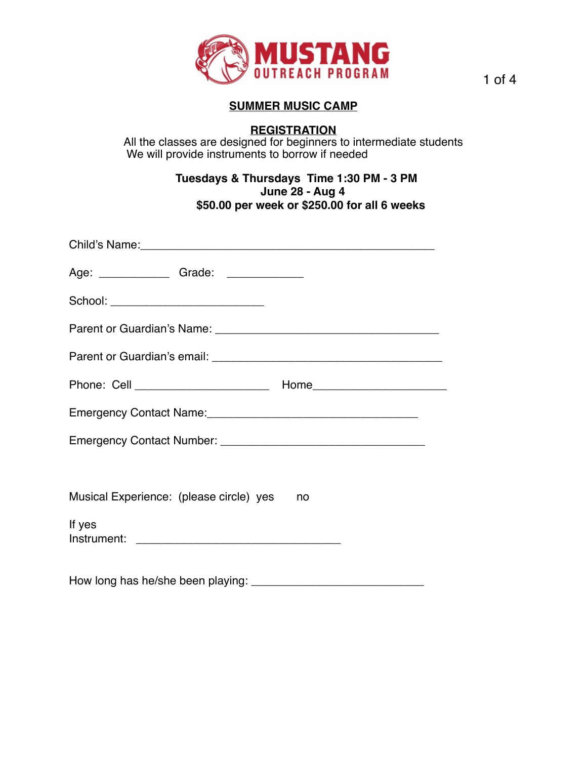

1 of 4

# **SUMMER MUSIC CAMP**

**REGISTRATION**

All the classes are designed for beginners to intermediate students We will provide instruments to borrow if needed

#### **Tuesdays & Thursdays Time 1:30 PM - 3 PM June 28 - Aug 4 \$50.00 per week or \$250.00 for all 6 weeks**

| Musical Experience: (please circle) yes<br>no |
|-----------------------------------------------|
| If yes                                        |
|                                               |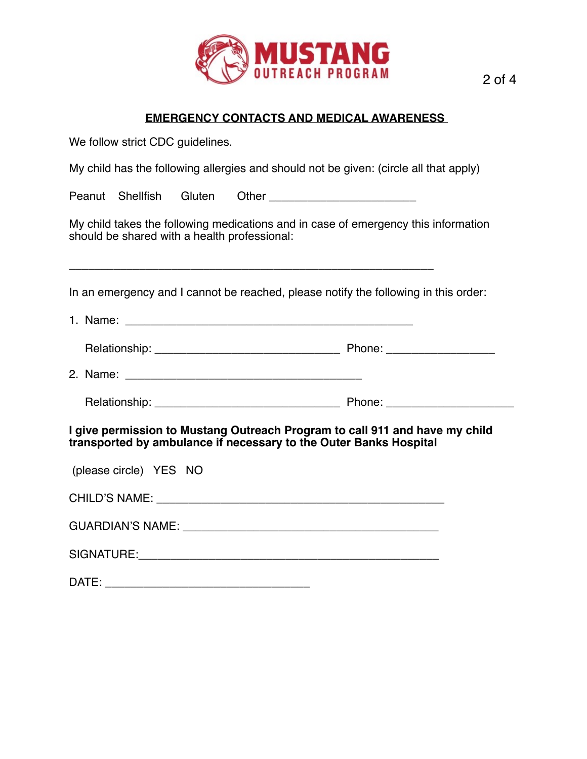

#### **EMERGENCY CONTACTS AND MEDICAL AWARENESS**

We follow strict CDC guidelines.

My child has the following allergies and should not be given: (circle all that apply)

Peanut Shellfish Gluten Other \_\_\_\_\_\_\_\_\_\_\_\_\_\_\_\_\_\_\_\_\_\_\_

\_\_\_\_\_\_\_\_\_\_\_\_\_\_\_\_\_\_\_\_\_\_\_\_\_\_\_\_\_\_\_\_\_\_\_\_\_\_\_\_\_\_\_\_\_\_\_\_\_\_\_\_\_\_\_\_\_

My child takes the following medications and in case of emergency this information should be shared with a health professional:

In an emergency and I cannot be reached, please notify the following in this order:

| I give permission to Mustang Outreach Program to call 911 and have my child<br>transported by ambulance if necessary to the Outer Banks Hospital |  |
|--------------------------------------------------------------------------------------------------------------------------------------------------|--|
| (please circle) YES NO                                                                                                                           |  |
|                                                                                                                                                  |  |
|                                                                                                                                                  |  |
|                                                                                                                                                  |  |
| $\blacksquare$                                                                                                                                   |  |

DATE: \_\_\_\_\_\_\_\_\_\_\_\_\_\_\_\_\_\_\_\_\_\_\_\_\_\_\_\_\_\_\_\_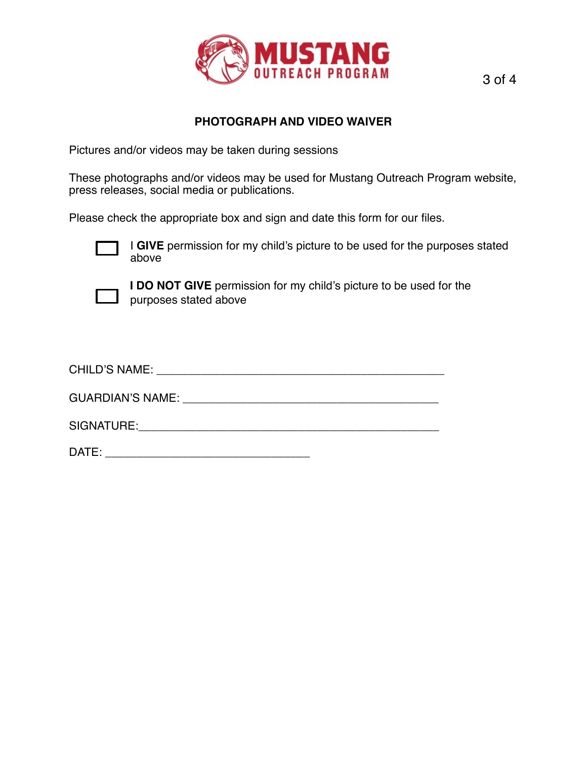

#### **PHOTOGRAPH AND VIDEO WAIVER**

Pictures and/or videos may be taken during sessions

These photographs and/or videos may be used for Mustang Outreach Program website, press releases, social media or publications.

Please check the appropriate box and sign and date this form for our files.



I **GIVE** permission for my child's picture to be used for the purposes stated above



**I DO NOT GIVE** permission for my child's picture to be used for the purposes stated above

| <b>CHILD'S NAME:</b> |  |  |  |
|----------------------|--|--|--|
|                      |  |  |  |

GUARDIAN'S NAME: \_\_\_\_\_\_\_\_\_\_\_\_\_\_\_\_\_\_\_\_\_\_\_\_\_\_\_\_\_\_\_\_\_\_\_\_\_\_\_\_

SIGNATURE:\_\_\_\_\_\_\_\_\_\_\_\_\_\_\_\_\_\_\_\_\_\_\_\_\_\_\_\_\_\_\_\_\_\_\_\_\_\_\_\_\_\_\_\_\_\_\_

DATE: \_\_\_\_\_\_\_\_\_\_\_\_\_\_\_\_\_\_\_\_\_\_\_\_\_\_\_\_\_\_\_\_